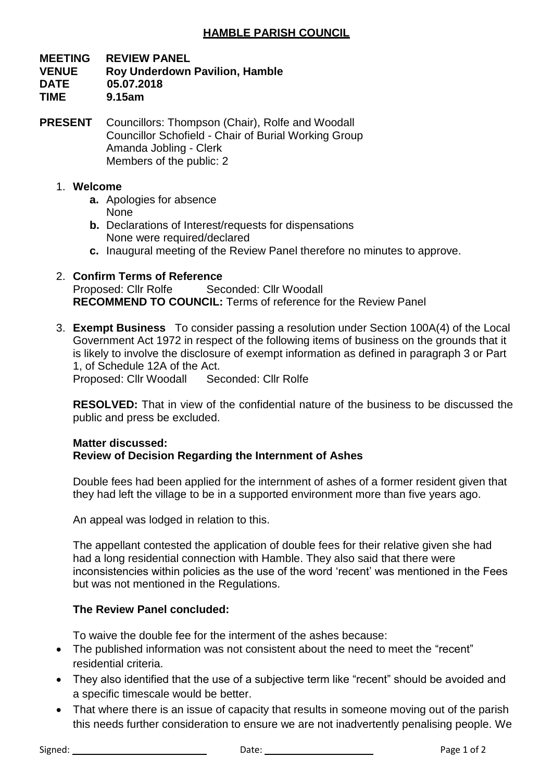# **HAMBLE PARISH COUNCIL**

### **MEETING REVIEW PANEL VENUE Roy Underdown Pavilion, Hamble DATE 05.07.2018 TIME 9.15am**

**PRESENT** Councillors: Thompson (Chair), Rolfe and Woodall Councillor Schofield - Chair of Burial Working Group Amanda Jobling - Clerk Members of the public: 2

### 1. **Welcome**

- **a.** Apologies for absence None
- **b.** Declarations of Interest/requests for dispensations None were required/declared
- **c.** Inaugural meeting of the Review Panel therefore no minutes to approve.
- 2. **Confirm Terms of Reference** Proposed: Cllr Rolfe Seconded: Cllr Woodall **RECOMMEND TO COUNCIL:** Terms of reference for the Review Panel
- 3. **Exempt Business** To consider passing a resolution under Section 100A(4) of the Local Government Act 1972 in respect of the following items of business on the grounds that it is likely to involve the disclosure of exempt information as defined in paragraph 3 or Part 1, of Schedule 12A of the Act. Proposed: Cllr Woodall Seconded: Cllr Rolfe

**RESOLVED:** That in view of the confidential nature of the business to be discussed the public and press be excluded.

#### **Matter discussed: Review of Decision Regarding the Internment of Ashes**

Double fees had been applied for the internment of ashes of a former resident given that they had left the village to be in a supported environment more than five years ago.

An appeal was lodged in relation to this.

The appellant contested the application of double fees for their relative given she had had a long residential connection with Hamble. They also said that there were inconsistencies within policies as the use of the word 'recent' was mentioned in the Fees but was not mentioned in the Regulations.

# **The Review Panel concluded:**

To waive the double fee for the interment of the ashes because:

- The published information was not consistent about the need to meet the "recent" residential criteria.
- They also identified that the use of a subjective term like "recent" should be avoided and a specific timescale would be better.
- That where there is an issue of capacity that results in someone moving out of the parish this needs further consideration to ensure we are not inadvertently penalising people. We